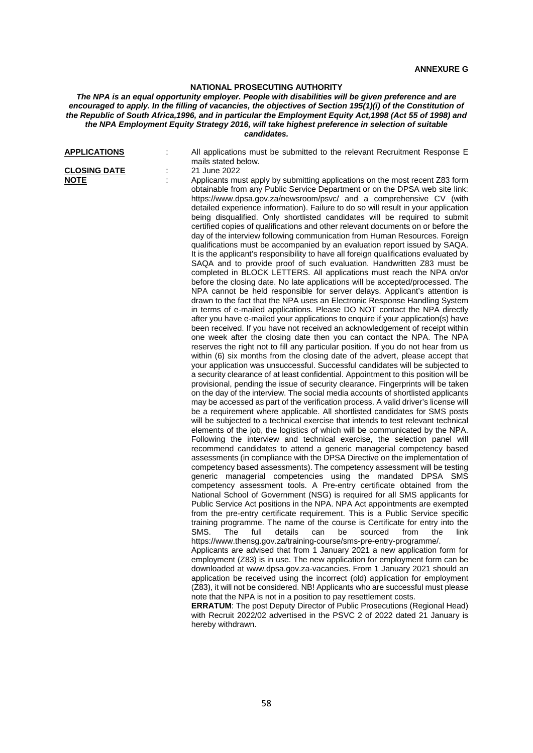## **NATIONAL PROSECUTING AUTHORITY**

## *The NPA is an equal opportunity employer. People with disabilities will be given preference and are encouraged to apply. In the filling of vacancies, the objectives of Section 195(1)(i) of the Constitution of the Republic of South Africa,1996, and in particular the Employment Equity Act,1998 (Act 55 of 1998) and the NPA Employment Equity Strategy 2016, will take highest preference in selection of suitable candidates.*

| <b>APPLICATIONS</b>                |   | All applications must be submitted to the relevant Recruitment Response E<br>mails stated below.                                                                                                                                                                                                                                                                                                                                                                                                                                                                                                                                                                                                                                                                                                                                                                                                                                                                                                                                                                                                                                                                                                                                                                                                                                                                                                                                                                                                                                                                                                                                                                                                                                                                                                                                                                                                                                                                                                                                                                                                                                                                                                                                                                                                                                                                                                                                                                                                                                                                                                                                                                                                                                                                                                                                                                                                                                                                                                                                                                                                                                                                                                                                                                                                                                                                                                                                                                                                                                                                                                                                                                                                                                                                                                                                                                                                                                                    |
|------------------------------------|---|-----------------------------------------------------------------------------------------------------------------------------------------------------------------------------------------------------------------------------------------------------------------------------------------------------------------------------------------------------------------------------------------------------------------------------------------------------------------------------------------------------------------------------------------------------------------------------------------------------------------------------------------------------------------------------------------------------------------------------------------------------------------------------------------------------------------------------------------------------------------------------------------------------------------------------------------------------------------------------------------------------------------------------------------------------------------------------------------------------------------------------------------------------------------------------------------------------------------------------------------------------------------------------------------------------------------------------------------------------------------------------------------------------------------------------------------------------------------------------------------------------------------------------------------------------------------------------------------------------------------------------------------------------------------------------------------------------------------------------------------------------------------------------------------------------------------------------------------------------------------------------------------------------------------------------------------------------------------------------------------------------------------------------------------------------------------------------------------------------------------------------------------------------------------------------------------------------------------------------------------------------------------------------------------------------------------------------------------------------------------------------------------------------------------------------------------------------------------------------------------------------------------------------------------------------------------------------------------------------------------------------------------------------------------------------------------------------------------------------------------------------------------------------------------------------------------------------------------------------------------------------------------------------------------------------------------------------------------------------------------------------------------------------------------------------------------------------------------------------------------------------------------------------------------------------------------------------------------------------------------------------------------------------------------------------------------------------------------------------------------------------------------------------------------------------------------------------------------------------------------------------------------------------------------------------------------------------------------------------------------------------------------------------------------------------------------------------------------------------------------------------------------------------------------------------------------------------------------------------------------------------------------------------------------------------------------------------|
| <b>CLOSING DATE</b><br><u>NOTE</u> | ÷ | 21 June 2022<br>Applicants must apply by submitting applications on the most recent Z83 form<br>obtainable from any Public Service Department or on the DPSA web site link:<br>https://www.dpsa.gov.za/newsroom/psvc/ and a comprehensive CV (with<br>detailed experience information). Failure to do so will result in your application<br>being disqualified. Only shortlisted candidates will be required to submit<br>certified copies of qualifications and other relevant documents on or before the<br>day of the interview following communication from Human Resources. Foreign<br>qualifications must be accompanied by an evaluation report issued by SAQA.<br>It is the applicant's responsibility to have all foreign qualifications evaluated by<br>SAQA and to provide proof of such evaluation. Handwritten Z83 must be<br>completed in BLOCK LETTERS. All applications must reach the NPA on/or<br>before the closing date. No late applications will be accepted/processed. The<br>NPA cannot be held responsible for server delays. Applicant's attention is<br>drawn to the fact that the NPA uses an Electronic Response Handling System<br>in terms of e-mailed applications. Please DO NOT contact the NPA directly<br>after you have e-mailed your applications to enquire if your application(s) have<br>been received. If you have not received an acknowledgement of receipt within<br>one week after the closing date then you can contact the NPA. The NPA<br>reserves the right not to fill any particular position. If you do not hear from us<br>within (6) six months from the closing date of the advert, please accept that<br>your application was unsuccessful. Successful candidates will be subjected to<br>a security clearance of at least confidential. Appointment to this position will be<br>provisional, pending the issue of security clearance. Fingerprints will be taken<br>on the day of the interview. The social media accounts of shortlisted applicants<br>may be accessed as part of the verification process. A valid driver's license will<br>be a requirement where applicable. All shortlisted candidates for SMS posts<br>will be subjected to a technical exercise that intends to test relevant technical<br>elements of the job, the logistics of which will be communicated by the NPA.<br>Following the interview and technical exercise, the selection panel will<br>recommend candidates to attend a generic managerial competency based<br>assessments (in compliance with the DPSA Directive on the implementation of<br>competency based assessments). The competency assessment will be testing<br>generic managerial competencies using the mandated DPSA SMS<br>competency assessment tools. A Pre-entry certificate obtained from the<br>National School of Government (NSG) is required for all SMS applicants for<br>Public Service Act positions in the NPA. NPA Act appointments are exempted<br>from the pre-entry certificate requirement. This is a Public Service specific<br>training programme. The name of the course is Certificate for entry into the<br>SMS.<br>The<br>details<br>full<br>can<br>be<br>sourced<br>from<br>the<br>link<br>https://www.thensg.gov.za/training-course/sms-pre-entry-programme/.<br>Applicants are advised that from 1 January 2021 a new application form for<br>employment (Z83) is in use. The new application for employment form can be<br>downloaded at www.dpsa.gov.za-vacancies. From 1 January 2021 should an<br>application be received using the incorrect (old) application for employment<br>(Z83), it will not be considered. NB! Applicants who are successful must please<br>note that the NPA is not in a position to pay resettlement costs.<br><b>ERRATUM:</b> The post Deputy Director of Public Prosecutions (Regional Head)<br>with Recruit 2022/02 advertised in the PSVC 2 of 2022 dated 21 January is |
|                                    |   | hereby withdrawn.                                                                                                                                                                                                                                                                                                                                                                                                                                                                                                                                                                                                                                                                                                                                                                                                                                                                                                                                                                                                                                                                                                                                                                                                                                                                                                                                                                                                                                                                                                                                                                                                                                                                                                                                                                                                                                                                                                                                                                                                                                                                                                                                                                                                                                                                                                                                                                                                                                                                                                                                                                                                                                                                                                                                                                                                                                                                                                                                                                                                                                                                                                                                                                                                                                                                                                                                                                                                                                                                                                                                                                                                                                                                                                                                                                                                                                                                                                                                   |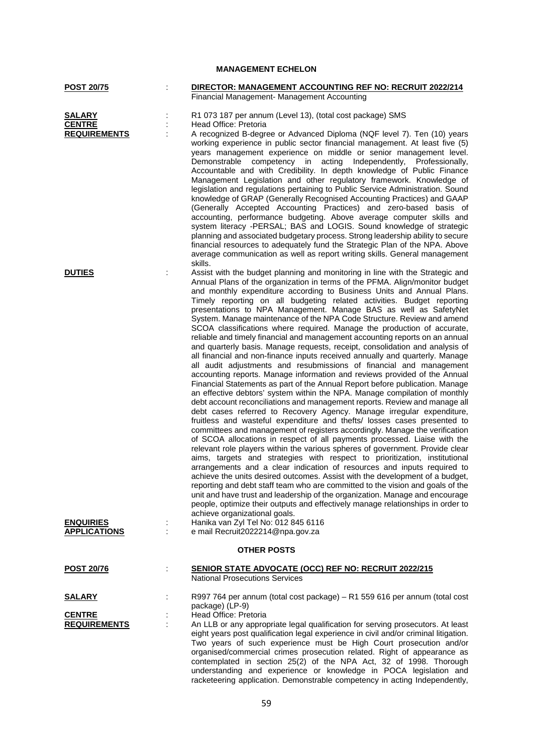| <b>MANAGEMENT ECHELON</b>                                |                                                                                                                                                                                                                                                                                                                                                                                                                                                                                                                                                                                                                                                                                                                                                                                                                                                                                                                                                                                                                                                                                                                                                                                                                                                                                                                                                                                                                                                                                                                                                                                                                                                                                                                                                                                                                                                                                                                                                                                                                                                                                                                                                                                                                      |  |
|----------------------------------------------------------|----------------------------------------------------------------------------------------------------------------------------------------------------------------------------------------------------------------------------------------------------------------------------------------------------------------------------------------------------------------------------------------------------------------------------------------------------------------------------------------------------------------------------------------------------------------------------------------------------------------------------------------------------------------------------------------------------------------------------------------------------------------------------------------------------------------------------------------------------------------------------------------------------------------------------------------------------------------------------------------------------------------------------------------------------------------------------------------------------------------------------------------------------------------------------------------------------------------------------------------------------------------------------------------------------------------------------------------------------------------------------------------------------------------------------------------------------------------------------------------------------------------------------------------------------------------------------------------------------------------------------------------------------------------------------------------------------------------------------------------------------------------------------------------------------------------------------------------------------------------------------------------------------------------------------------------------------------------------------------------------------------------------------------------------------------------------------------------------------------------------------------------------------------------------------------------------------------------------|--|
| POST 20/75                                               | DIRECTOR: MANAGEMENT ACCOUNTING REF NO: RECRUIT 2022/214<br>Financial Management- Management Accounting                                                                                                                                                                                                                                                                                                                                                                                                                                                                                                                                                                                                                                                                                                                                                                                                                                                                                                                                                                                                                                                                                                                                                                                                                                                                                                                                                                                                                                                                                                                                                                                                                                                                                                                                                                                                                                                                                                                                                                                                                                                                                                              |  |
| <b>SALARY</b><br><b>CENTRE</b><br><b>REQUIREMENTS</b>    | R1 073 187 per annum (Level 13), (total cost package) SMS<br>Head Office: Pretoria<br>A recognized B-degree or Advanced Diploma (NQF level 7). Ten (10) years<br>working experience in public sector financial management. At least five (5)<br>years management experience on middle or senior management level.<br>acting Independently,<br>Demonstrable<br>competency in<br>Professionally,<br>Accountable and with Credibility. In depth knowledge of Public Finance<br>Management Legislation and other regulatory framework. Knowledge of<br>legislation and regulations pertaining to Public Service Administration. Sound<br>knowledge of GRAP (Generally Recognised Accounting Practices) and GAAP<br>(Generally Accepted Accounting Practices) and zero-based basis of<br>accounting, performance budgeting. Above average computer skills and<br>system literacy -PERSAL; BAS and LOGIS. Sound knowledge of strategic<br>planning and associated budgetary process. Strong leadership ability to secure<br>financial resources to adequately fund the Strategic Plan of the NPA. Above<br>average communication as well as report writing skills. General management                                                                                                                                                                                                                                                                                                                                                                                                                                                                                                                                                                                                                                                                                                                                                                                                                                                                                                                                                                                                                                      |  |
| <b>DUTIES</b><br><b>ENQUIRIES</b><br><b>APPLICATIONS</b> | skills.<br>Assist with the budget planning and monitoring in line with the Strategic and<br>÷<br>Annual Plans of the organization in terms of the PFMA. Align/monitor budget<br>and monthly expenditure according to Business Units and Annual Plans.<br>Timely reporting on all budgeting related activities. Budget reporting<br>presentations to NPA Management. Manage BAS as well as SafetyNet<br>System. Manage maintenance of the NPA Code Structure. Review and amend<br>SCOA classifications where required. Manage the production of accurate,<br>reliable and timely financial and management accounting reports on an annual<br>and quarterly basis. Manage requests, receipt, consolidation and analysis of<br>all financial and non-finance inputs received annually and quarterly. Manage<br>all audit adjustments and resubmissions of financial and management<br>accounting reports. Manage information and reviews provided of the Annual<br>Financial Statements as part of the Annual Report before publication. Manage<br>an effective debtors' system within the NPA. Manage compilation of monthly<br>debt account reconciliations and management reports. Review and manage all<br>debt cases referred to Recovery Agency. Manage irregular expenditure,<br>fruitless and wasteful expenditure and thefts/ losses cases presented to<br>committees and management of registers accordingly. Manage the verification<br>of SCOA allocations in respect of all payments processed. Liaise with the<br>relevant role players within the various spheres of government. Provide clear<br>aims, targets and strategies with respect to prioritization, institutional<br>arrangements and a clear indication of resources and inputs required to<br>achieve the units desired outcomes. Assist with the development of a budget,<br>reporting and debt staff team who are committed to the vision and goals of the<br>unit and have trust and leadership of the organization. Manage and encourage<br>people, optimize their outputs and effectively manage relationships in order to<br>achieve organizational goals.<br>Hanika van Zyl Tel No: 012 845 6116<br>e mail Recruit2022214@npa.gov.za |  |
| <b>OTHER POSTS</b>                                       |                                                                                                                                                                                                                                                                                                                                                                                                                                                                                                                                                                                                                                                                                                                                                                                                                                                                                                                                                                                                                                                                                                                                                                                                                                                                                                                                                                                                                                                                                                                                                                                                                                                                                                                                                                                                                                                                                                                                                                                                                                                                                                                                                                                                                      |  |
| <u>POST 20/76</u>                                        | <b>SENIOR STATE ADVOCATE (OCC) REF NO: RECRUIT 2022/215</b><br><b>National Prosecutions Services</b>                                                                                                                                                                                                                                                                                                                                                                                                                                                                                                                                                                                                                                                                                                                                                                                                                                                                                                                                                                                                                                                                                                                                                                                                                                                                                                                                                                                                                                                                                                                                                                                                                                                                                                                                                                                                                                                                                                                                                                                                                                                                                                                 |  |
| <u>SALARY</u><br><b>CENTRE</b><br><b>REQUIREMENTS</b>    | R997 764 per annum (total cost package) - R1 559 616 per annum (total cost<br>package) (LP-9)<br>Head Office: Pretoria<br>An LLB or any appropriate legal qualification for serving prosecutors. At least<br>eight years post qualification legal experience in civil and/or criminal litigation.<br>Two years of such experience must be High Court prosecution and/or<br>organised/commercial crimes prosecution related. Right of appearance as<br>contemplated in section 25(2) of the NPA Act, 32 of 1998. Thorough<br>understanding and experience or knowledge in POCA legislation and                                                                                                                                                                                                                                                                                                                                                                                                                                                                                                                                                                                                                                                                                                                                                                                                                                                                                                                                                                                                                                                                                                                                                                                                                                                                                                                                                                                                                                                                                                                                                                                                                        |  |

racketeering application. Demonstrable competency in acting Independently,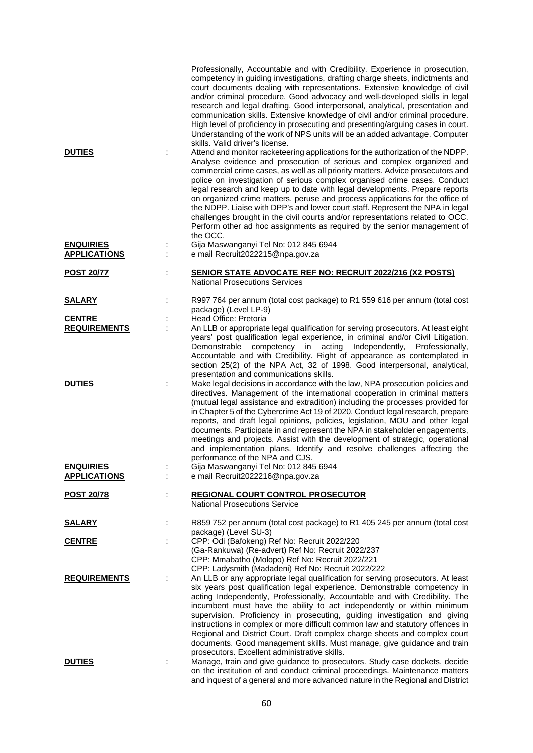|                                         |   | Professionally, Accountable and with Credibility. Experience in prosecution,<br>competency in guiding investigations, drafting charge sheets, indictments and<br>court documents dealing with representations. Extensive knowledge of civil<br>and/or criminal procedure. Good advocacy and well-developed skills in legal<br>research and legal drafting. Good interpersonal, analytical, presentation and<br>communication skills. Extensive knowledge of civil and/or criminal procedure.<br>High level of proficiency in prosecuting and presenting/arguing cases in court.<br>Understanding of the work of NPS units will be an added advantage. Computer<br>skills. Valid driver's license.                                                  |
|-----------------------------------------|---|----------------------------------------------------------------------------------------------------------------------------------------------------------------------------------------------------------------------------------------------------------------------------------------------------------------------------------------------------------------------------------------------------------------------------------------------------------------------------------------------------------------------------------------------------------------------------------------------------------------------------------------------------------------------------------------------------------------------------------------------------|
| <b>DUTIES</b>                           |   | Attend and monitor racketeering applications for the authorization of the NDPP.<br>Analyse evidence and prosecution of serious and complex organized and<br>commercial crime cases, as well as all priority matters. Advice prosecutors and<br>police on investigation of serious complex organised crime cases. Conduct<br>legal research and keep up to date with legal developments. Prepare reports<br>on organized crime matters, peruse and process applications for the office of<br>the NDPP. Liaise with DPP's and lower court staff. Represent the NPA in legal<br>challenges brought in the civil courts and/or representations related to OCC.<br>Perform other ad hoc assignments as required by the senior management of<br>the OCC. |
| <b>ENQUIRIES</b><br><b>APPLICATIONS</b> |   | Gija Maswanganyi Tel No: 012 845 6944<br>e mail Recruit2022215@npa.gov.za                                                                                                                                                                                                                                                                                                                                                                                                                                                                                                                                                                                                                                                                          |
| <b>POST 20/77</b>                       | t | <b>SENIOR STATE ADVOCATE REF NO: RECRUIT 2022/216 (X2 POSTS)</b><br><b>National Prosecutions Services</b>                                                                                                                                                                                                                                                                                                                                                                                                                                                                                                                                                                                                                                          |
| <u>SALARY</u>                           |   | R997 764 per annum (total cost package) to R1 559 616 per annum (total cost<br>package) (Level LP-9)                                                                                                                                                                                                                                                                                                                                                                                                                                                                                                                                                                                                                                               |
| <b>CENTRE</b><br><b>REQUIREMENTS</b>    | ÷ | Head Office: Pretoria<br>An LLB or appropriate legal qualification for serving prosecutors. At least eight<br>years' post qualification legal experience, in criminal and/or Civil Litigation.<br>Independently,<br>Demonstrable<br>competency<br>acting<br>Professionally,<br>in<br>Accountable and with Credibility. Right of appearance as contemplated in<br>section 25(2) of the NPA Act, 32 of 1998. Good interpersonal, analytical,<br>presentation and communications skills.                                                                                                                                                                                                                                                              |
| <b>DUTIES</b>                           |   | Make legal decisions in accordance with the law, NPA prosecution policies and<br>directives. Management of the international cooperation in criminal matters<br>(mutual legal assistance and extradition) including the processes provided for<br>in Chapter 5 of the Cybercrime Act 19 of 2020. Conduct legal research, prepare<br>reports, and draft legal opinions, policies, legislation, MOU and other legal<br>documents. Participate in and represent the NPA in stakeholder engagements,<br>meetings and projects. Assist with the development of strategic, operational<br>and implementation plans. Identify and resolve challenges affecting the<br>performance of the NPA and CJS.                                                     |
| <b>ENQUIRIES</b><br><b>APPLICATIONS</b> |   | Gija Maswanganyi Tel No: 012 845 6944<br>e mail Recruit2022216@npa.gov.za                                                                                                                                                                                                                                                                                                                                                                                                                                                                                                                                                                                                                                                                          |
| <b>POST 20/78</b>                       |   | <b>REGIONAL COURT CONTROL PROSECUTOR</b><br><b>National Prosecutions Service</b>                                                                                                                                                                                                                                                                                                                                                                                                                                                                                                                                                                                                                                                                   |
| <u>SALARY</u>                           |   | R859 752 per annum (total cost package) to R1 405 245 per annum (total cost                                                                                                                                                                                                                                                                                                                                                                                                                                                                                                                                                                                                                                                                        |
| <b>CENTRE</b>                           |   | package) (Level SU-3)<br>CPP: Odi (Bafokeng) Ref No: Recruit 2022/220<br>(Ga-Rankuwa) (Re-advert) Ref No: Recruit 2022/237<br>CPP: Mmabatho (Molopo) Ref No: Recruit 2022/221<br>CPP: Ladysmith (Madadeni) Ref No: Recruit 2022/222                                                                                                                                                                                                                                                                                                                                                                                                                                                                                                                |
| <b>REQUIREMENTS</b>                     | ÷ | An LLB or any appropriate legal qualification for serving prosecutors. At least<br>six years post qualification legal experience. Demonstrable competency in<br>acting Independently, Professionally, Accountable and with Credibility. The<br>incumbent must have the ability to act independently or within minimum<br>supervision. Proficiency in prosecuting, guiding investigation and giving<br>instructions in complex or more difficult common law and statutory offences in<br>Regional and District Court. Draft complex charge sheets and complex court<br>documents. Good management skills. Must manage, give guidance and train<br>prosecutors. Excellent administrative skills.                                                     |
| <b>DUTIES</b>                           |   | Manage, train and give guidance to prosecutors. Study case dockets, decide<br>on the institution of and conduct criminal proceedings. Maintenance matters<br>and inquest of a general and more advanced nature in the Regional and District                                                                                                                                                                                                                                                                                                                                                                                                                                                                                                        |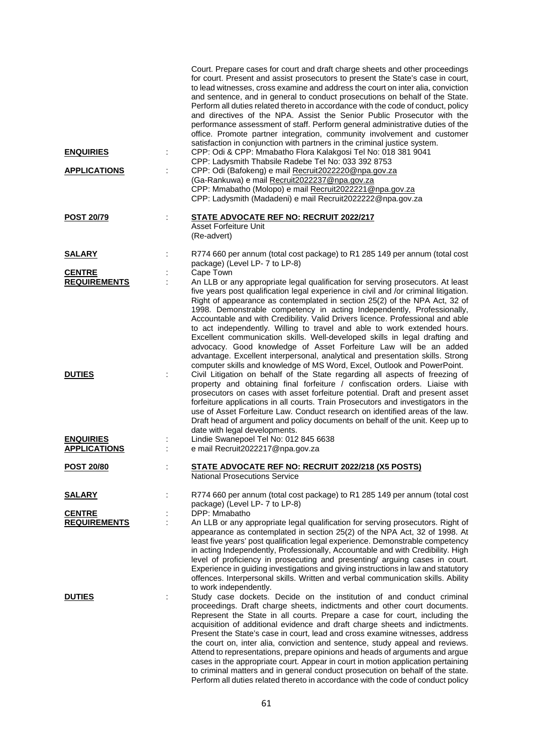|                     | Court. Prepare cases for court and draft charge sheets and other proceedings<br>for court. Present and assist prosecutors to present the State's case in court,<br>to lead witnesses, cross examine and address the court on inter alia, conviction<br>and sentence, and in general to conduct prosecutions on behalf of the State.<br>Perform all duties related thereto in accordance with the code of conduct, policy<br>and directives of the NPA. Assist the Senior Public Prosecutor with the<br>performance assessment of staff. Perform general administrative duties of the<br>office. Promote partner integration, community involvement and customer<br>satisfaction in conjunction with partners in the criminal justice system.                                                                             |
|---------------------|--------------------------------------------------------------------------------------------------------------------------------------------------------------------------------------------------------------------------------------------------------------------------------------------------------------------------------------------------------------------------------------------------------------------------------------------------------------------------------------------------------------------------------------------------------------------------------------------------------------------------------------------------------------------------------------------------------------------------------------------------------------------------------------------------------------------------|
| <b>ENQUIRIES</b>    | CPP: Odi & CPP: Mmabatho Flora Kalakgosi Tel No: 018 381 9041<br>CPP: Ladysmith Thabsile Radebe Tel No: 033 392 8753                                                                                                                                                                                                                                                                                                                                                                                                                                                                                                                                                                                                                                                                                                     |
| <b>APPLICATIONS</b> | CPP: Odi (Bafokeng) e mail Recruit2022220@npa.gov.za<br>(Ga-Rankuwa) e mail Recruit2022237@npa.gov.za<br>CPP: Mmabatho (Molopo) e mail Recruit2022221@npa.gov.za<br>CPP: Ladysmith (Madadeni) e mail Recruit2022222@npa.gov.za                                                                                                                                                                                                                                                                                                                                                                                                                                                                                                                                                                                           |
| <b>POST 20/79</b>   | <b>STATE ADVOCATE REF NO: RECRUIT 2022/217</b><br><b>Asset Forfeiture Unit</b><br>(Re-advert)                                                                                                                                                                                                                                                                                                                                                                                                                                                                                                                                                                                                                                                                                                                            |
| <b>SALARY</b>       | R774 660 per annum (total cost package) to R1 285 149 per annum (total cost<br>package) (Level LP- 7 to LP-8)                                                                                                                                                                                                                                                                                                                                                                                                                                                                                                                                                                                                                                                                                                            |
| <b>CENTRE</b>       | Cape Town                                                                                                                                                                                                                                                                                                                                                                                                                                                                                                                                                                                                                                                                                                                                                                                                                |
| <b>REQUIREMENTS</b> | An LLB or any appropriate legal qualification for serving prosecutors. At least<br>five years post qualification legal experience in civil and /or criminal litigation.<br>Right of appearance as contemplated in section 25(2) of the NPA Act, 32 of<br>1998. Demonstrable competency in acting Independently, Professionally,<br>Accountable and with Credibility. Valid Drivers licence. Professional and able<br>to act independently. Willing to travel and able to work extended hours.<br>Excellent communication skills. Well-developed skills in legal drafting and<br>advocacy. Good knowledge of Asset Forfeiture Law will be an added<br>advantage. Excellent interpersonal, analytical and presentation skills. Strong<br>computer skills and knowledge of MS Word, Excel, Outlook and PowerPoint.          |
| <b>DUTIES</b>       | Civil Litigation on behalf of the State regarding all aspects of freezing of<br>property and obtaining final forfeiture / confiscation orders. Liaise with<br>prosecutors on cases with asset forfeiture potential. Draft and present asset<br>forfeiture applications in all courts. Train Prosecutors and investigators in the<br>use of Asset Forfeiture Law. Conduct research on identified areas of the law.<br>Draft head of argument and policy documents on behalf of the unit. Keep up to<br>date with legal developments.                                                                                                                                                                                                                                                                                      |
| <b>ENQUIRIES</b>    | Lindie Swanepoel Tel No: 012 845 6638                                                                                                                                                                                                                                                                                                                                                                                                                                                                                                                                                                                                                                                                                                                                                                                    |
| <b>APPLICATIONS</b> | e mail Recruit2022217@npa.gov.za                                                                                                                                                                                                                                                                                                                                                                                                                                                                                                                                                                                                                                                                                                                                                                                         |
| POST 20/80          | <b>STATE ADVOCATE REF NO: RECRUIT 2022/218 (X5 POSTS)</b><br><b>National Prosecutions Service</b>                                                                                                                                                                                                                                                                                                                                                                                                                                                                                                                                                                                                                                                                                                                        |
| <u>SALARY</u>       | R774 660 per annum (total cost package) to R1 285 149 per annum (total cost<br>package) (Level LP-7 to LP-8)                                                                                                                                                                                                                                                                                                                                                                                                                                                                                                                                                                                                                                                                                                             |
| <b>CENTRE</b>       | DPP: Mmabatho                                                                                                                                                                                                                                                                                                                                                                                                                                                                                                                                                                                                                                                                                                                                                                                                            |
| <b>REQUIREMENTS</b> | An LLB or any appropriate legal qualification for serving prosecutors. Right of<br>appearance as contemplated in section 25(2) of the NPA Act, 32 of 1998. At<br>least five years' post qualification legal experience. Demonstrable competency<br>in acting Independently, Professionally, Accountable and with Credibility. High<br>level of proficiency in prosecuting and presenting/ arguing cases in court.<br>Experience in guiding investigations and giving instructions in law and statutory<br>offences. Interpersonal skills. Written and verbal communication skills. Ability<br>to work independently.                                                                                                                                                                                                     |
| <b>DUTIES</b>       | Study case dockets. Decide on the institution of and conduct criminal<br>proceedings. Draft charge sheets, indictments and other court documents.<br>Represent the State in all courts. Prepare a case for court, including the<br>acquisition of additional evidence and draft charge sheets and indictments.<br>Present the State's case in court, lead and cross examine witnesses, address<br>the court on, inter alia, conviction and sentence, study appeal and reviews.<br>Attend to representations, prepare opinions and heads of arguments and argue<br>cases in the appropriate court. Appear in court in motion application pertaining<br>to criminal matters and in general conduct prosecution on behalf of the state.<br>Perform all duties related thereto in accordance with the code of conduct policy |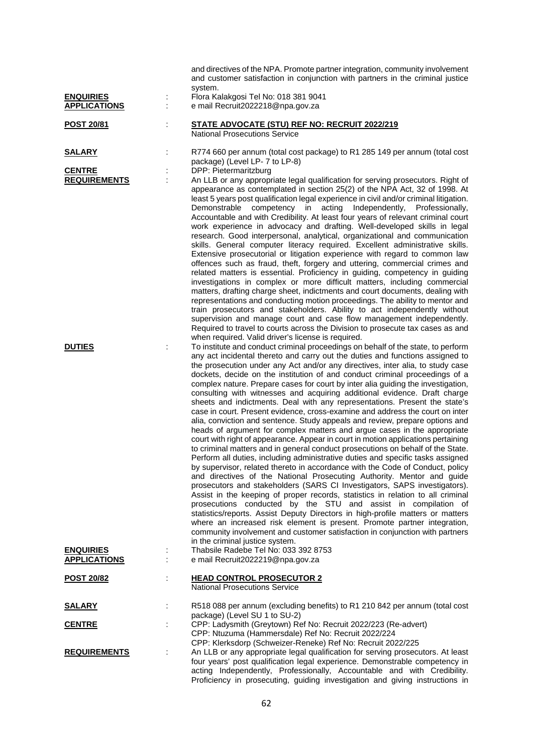|                                         |   | and directives of the NPA. Promote partner integration, community involvement<br>and customer satisfaction in conjunction with partners in the criminal justice<br>system.                                                                                                                                                                                                                                                                                                                                                                                                                                                                                                                                                                                                                                                                                                                                                                                                                                                                                                                                                                                                                                                                                                                                                                                                                                                                                                                                                                                                                                                                                                                                                                                                                                                    |
|-----------------------------------------|---|-------------------------------------------------------------------------------------------------------------------------------------------------------------------------------------------------------------------------------------------------------------------------------------------------------------------------------------------------------------------------------------------------------------------------------------------------------------------------------------------------------------------------------------------------------------------------------------------------------------------------------------------------------------------------------------------------------------------------------------------------------------------------------------------------------------------------------------------------------------------------------------------------------------------------------------------------------------------------------------------------------------------------------------------------------------------------------------------------------------------------------------------------------------------------------------------------------------------------------------------------------------------------------------------------------------------------------------------------------------------------------------------------------------------------------------------------------------------------------------------------------------------------------------------------------------------------------------------------------------------------------------------------------------------------------------------------------------------------------------------------------------------------------------------------------------------------------|
| <b>ENQUIRIES</b><br><b>APPLICATIONS</b> | İ | Flora Kalakgosi Tel No: 018 381 9041<br>e mail Recruit2022218@npa.gov.za                                                                                                                                                                                                                                                                                                                                                                                                                                                                                                                                                                                                                                                                                                                                                                                                                                                                                                                                                                                                                                                                                                                                                                                                                                                                                                                                                                                                                                                                                                                                                                                                                                                                                                                                                      |
| <b>POST 20/81</b>                       | ÷ | <b>STATE ADVOCATE (STU) REF NO: RECRUIT 2022/219</b><br><b>National Prosecutions Service</b>                                                                                                                                                                                                                                                                                                                                                                                                                                                                                                                                                                                                                                                                                                                                                                                                                                                                                                                                                                                                                                                                                                                                                                                                                                                                                                                                                                                                                                                                                                                                                                                                                                                                                                                                  |
| <u>SALARY</u>                           | İ | R774 660 per annum (total cost package) to R1 285 149 per annum (total cost<br>package) (Level LP- 7 to LP-8)                                                                                                                                                                                                                                                                                                                                                                                                                                                                                                                                                                                                                                                                                                                                                                                                                                                                                                                                                                                                                                                                                                                                                                                                                                                                                                                                                                                                                                                                                                                                                                                                                                                                                                                 |
| <b>CENTRE</b><br><b>REQUIREMENTS</b>    | ÷ | DPP: Pietermaritzburg<br>An LLB or any appropriate legal qualification for serving prosecutors. Right of<br>appearance as contemplated in section 25(2) of the NPA Act, 32 of 1998. At<br>least 5 years post qualification legal experience in civil and/or criminal litigation.<br>Demonstrable competency in acting<br>Independently,<br>Professionally,<br>Accountable and with Credibility. At least four years of relevant criminal court<br>work experience in advocacy and drafting. Well-developed skills in legal<br>research. Good interpersonal, analytical, organizational and communication<br>skills. General computer literacy required. Excellent administrative skills.<br>Extensive prosecutorial or litigation experience with regard to common law<br>offences such as fraud, theft, forgery and uttering, commercial crimes and<br>related matters is essential. Proficiency in guiding, competency in guiding<br>investigations in complex or more difficult matters, including commercial<br>matters, drafting charge sheet, indictments and court documents, dealing with<br>representations and conducting motion proceedings. The ability to mentor and<br>train prosecutors and stakeholders. Ability to act independently without<br>supervision and manage court and case flow management independently.<br>Required to travel to courts across the Division to prosecute tax cases as and                                                                                                                                                                                                                                                                                                                                                                                                       |
| <b>DUTIES</b>                           |   | when required. Valid driver's license is required.<br>To institute and conduct criminal proceedings on behalf of the state, to perform<br>any act incidental thereto and carry out the duties and functions assigned to<br>the prosecution under any Act and/or any directives, inter alia, to study case<br>dockets, decide on the institution of and conduct criminal proceedings of a<br>complex nature. Prepare cases for court by inter alia guiding the investigation,<br>consulting with witnesses and acquiring additional evidence. Draft charge<br>sheets and indictments. Deal with any representations. Present the state's<br>case in court. Present evidence, cross-examine and address the court on inter<br>alia, conviction and sentence. Study appeals and review, prepare options and<br>heads of argument for complex matters and argue cases in the appropriate<br>court with right of appearance. Appear in court in motion applications pertaining<br>to criminal matters and in general conduct prosecutions on behalf of the State.<br>Perform all duties, including administrative duties and specific tasks assigned<br>by supervisor, related thereto in accordance with the Code of Conduct, policy<br>and directives of the National Prosecuting Authority. Mentor and guide<br>prosecutors and stakeholders (SARS CI Investigators, SAPS investigators).<br>Assist in the keeping of proper records, statistics in relation to all criminal<br>prosecutions conducted by the STU and assist in compilation of<br>statistics/reports. Assist Deputy Directors in high-profile matters or matters<br>where an increased risk element is present. Promote partner integration,<br>community involvement and customer satisfaction in conjunction with partners<br>in the criminal justice system. |
| <b>ENQUIRIES</b><br><b>APPLICATIONS</b> |   | Thabsile Radebe Tel No: 033 392 8753<br>e mail Recruit2022219@npa.gov.za                                                                                                                                                                                                                                                                                                                                                                                                                                                                                                                                                                                                                                                                                                                                                                                                                                                                                                                                                                                                                                                                                                                                                                                                                                                                                                                                                                                                                                                                                                                                                                                                                                                                                                                                                      |
| <u>POST 20/82</u>                       |   | <b>HEAD CONTROL PROSECUTOR 2</b><br><b>National Prosecutions Service</b>                                                                                                                                                                                                                                                                                                                                                                                                                                                                                                                                                                                                                                                                                                                                                                                                                                                                                                                                                                                                                                                                                                                                                                                                                                                                                                                                                                                                                                                                                                                                                                                                                                                                                                                                                      |
| <u>SALARY</u>                           |   | R518 088 per annum (excluding benefits) to R1 210 842 per annum (total cost<br>package) (Level SU 1 to SU-2)                                                                                                                                                                                                                                                                                                                                                                                                                                                                                                                                                                                                                                                                                                                                                                                                                                                                                                                                                                                                                                                                                                                                                                                                                                                                                                                                                                                                                                                                                                                                                                                                                                                                                                                  |
| <b>CENTRE</b>                           |   | CPP: Ladysmith (Greytown) Ref No: Recruit 2022/223 (Re-advert)<br>CPP: Ntuzuma (Hammersdale) Ref No: Recruit 2022/224<br>CPP: Klerksdorp (Schweizer-Reneke) Ref No: Recruit 2022/225                                                                                                                                                                                                                                                                                                                                                                                                                                                                                                                                                                                                                                                                                                                                                                                                                                                                                                                                                                                                                                                                                                                                                                                                                                                                                                                                                                                                                                                                                                                                                                                                                                          |
| <b>REQUIREMENTS</b>                     |   | An LLB or any appropriate legal qualification for serving prosecutors. At least<br>four years' post qualification legal experience. Demonstrable competency in<br>acting Independently, Professionally, Accountable and with Credibility.<br>Proficiency in prosecuting, guiding investigation and giving instructions in                                                                                                                                                                                                                                                                                                                                                                                                                                                                                                                                                                                                                                                                                                                                                                                                                                                                                                                                                                                                                                                                                                                                                                                                                                                                                                                                                                                                                                                                                                     |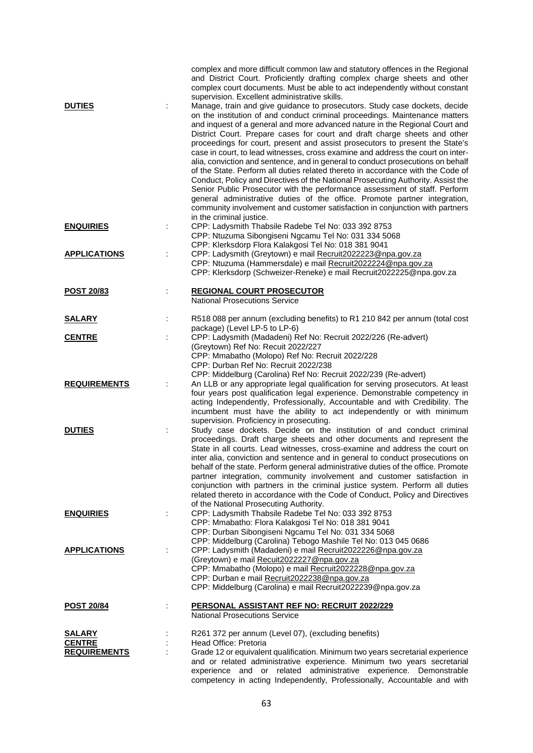|                                                | complex and more difficult common law and statutory offences in the Regional<br>and District Court. Proficiently drafting complex charge sheets and other<br>complex court documents. Must be able to act independently without constant<br>supervision. Excellent administrative skills.                                                                                                                                                                                                                                                                                                                                                                                                                                                                                                                                                                                                                                                                                                                                 |
|------------------------------------------------|---------------------------------------------------------------------------------------------------------------------------------------------------------------------------------------------------------------------------------------------------------------------------------------------------------------------------------------------------------------------------------------------------------------------------------------------------------------------------------------------------------------------------------------------------------------------------------------------------------------------------------------------------------------------------------------------------------------------------------------------------------------------------------------------------------------------------------------------------------------------------------------------------------------------------------------------------------------------------------------------------------------------------|
| <b>DUTIES</b>                                  | Manage, train and give guidance to prosecutors. Study case dockets, decide<br>on the institution of and conduct criminal proceedings. Maintenance matters<br>and inquest of a general and more advanced nature in the Regional Court and<br>District Court. Prepare cases for court and draft charge sheets and other<br>proceedings for court, present and assist prosecutors to present the State's<br>case in court, to lead witnesses, cross examine and address the court on inter-<br>alia, conviction and sentence, and in general to conduct prosecutions on behalf<br>of the State. Perform all duties related thereto in accordance with the Code of<br>Conduct, Policy and Directives of the National Prosecuting Authority. Assist the<br>Senior Public Prosecutor with the performance assessment of staff. Perform<br>general administrative duties of the office. Promote partner integration,<br>community involvement and customer satisfaction in conjunction with partners<br>in the criminal justice. |
| <b>ENQUIRIES</b>                               | CPP: Ladysmith Thabsile Radebe Tel No: 033 392 8753<br>CPP: Ntuzuma Sibongiseni Ngcamu Tel No: 031 334 5068<br>CPP: Klerksdorp Flora Kalakgosi Tel No: 018 381 9041                                                                                                                                                                                                                                                                                                                                                                                                                                                                                                                                                                                                                                                                                                                                                                                                                                                       |
| <b>APPLICATIONS</b>                            | CPP: Ladysmith (Greytown) e mail Recruit2022223@npa.gov.za<br>CPP: Ntuzuma (Hammersdale) e mail Recruit2022224@npa.gov.za<br>CPP: Klerksdorp (Schweizer-Reneke) e mail Recruit2022225@npa.gov.za                                                                                                                                                                                                                                                                                                                                                                                                                                                                                                                                                                                                                                                                                                                                                                                                                          |
| <b>POST 20/83</b>                              | <b>REGIONAL COURT PROSECUTOR</b><br><b>National Prosecutions Service</b>                                                                                                                                                                                                                                                                                                                                                                                                                                                                                                                                                                                                                                                                                                                                                                                                                                                                                                                                                  |
| <b>SALARY</b>                                  | R518 088 per annum (excluding benefits) to R1 210 842 per annum (total cost<br>package) (Level LP-5 to LP-6)                                                                                                                                                                                                                                                                                                                                                                                                                                                                                                                                                                                                                                                                                                                                                                                                                                                                                                              |
| <b>CENTRE</b>                                  | CPP: Ladysmith (Madadeni) Ref No: Recruit 2022/226 (Re-advert)<br>(Greytown) Ref No: Recuit 2022/227<br>CPP: Mmabatho (Molopo) Ref No: Recruit 2022/228<br>CPP: Durban Ref No: Recruit 2022/238<br>CPP: Middelburg (Carolina) Ref No: Recruit 2022/239 (Re-advert)                                                                                                                                                                                                                                                                                                                                                                                                                                                                                                                                                                                                                                                                                                                                                        |
| <b>REQUIREMENTS</b>                            | An LLB or any appropriate legal qualification for serving prosecutors. At least<br>four years post qualification legal experience. Demonstrable competency in<br>acting Independently, Professionally, Accountable and with Credibility. The<br>incumbent must have the ability to act independently or with minimum<br>supervision. Proficiency in prosecuting.                                                                                                                                                                                                                                                                                                                                                                                                                                                                                                                                                                                                                                                          |
| <b>DUTIES</b>                                  | Study case dockets. Decide on the institution of and conduct criminal<br>proceedings. Draft charge sheets and other documents and represent the<br>State in all courts. Lead witnesses, cross-examine and address the court on<br>inter alia, conviction and sentence and in general to conduct prosecutions on<br>behalf of the state. Perform general administrative duties of the office. Promote<br>partner integration, community involvement and customer satisfaction in<br>conjunction with partners in the criminal justice system. Perform all duties<br>related thereto in accordance with the Code of Conduct, Policy and Directives<br>of the National Prosecuting Authority.                                                                                                                                                                                                                                                                                                                                |
| <b>ENQUIRIES</b>                               | CPP: Ladysmith Thabsile Radebe Tel No: 033 392 8753<br>CPP: Mmabatho: Flora Kalakgosi Tel No: 018 381 9041<br>CPP: Durban Sibongiseni Ngcamu Tel No: 031 334 5068<br>CPP: Middelburg (Carolina) Tebogo Mashile Tel No: 013 045 0686                                                                                                                                                                                                                                                                                                                                                                                                                                                                                                                                                                                                                                                                                                                                                                                       |
| <b>APPLICATIONS</b>                            | CPP: Ladysmith (Madadeni) e mail Recruit2022226@npa.gov.za<br>(Greytown) e mail Recuit2022227@npa.gov.za<br>CPP: Mmabatho (Molopo) e mail Recruit2022228@npa.gov.za<br>CPP: Durban e mail Recruit2022238@npa.gov.za<br>CPP: Middelburg (Carolina) e mail Recruit2022239@npa.gov.za                                                                                                                                                                                                                                                                                                                                                                                                                                                                                                                                                                                                                                                                                                                                        |
| <b>POST 20/84</b>                              | PERSONAL ASSISTANT REF NO: RECRUIT 2022/229<br><b>National Prosecutions Service</b>                                                                                                                                                                                                                                                                                                                                                                                                                                                                                                                                                                                                                                                                                                                                                                                                                                                                                                                                       |
| SALARY<br><b>CENTRE</b><br><b>REQUIREMENTS</b> | R261 372 per annum (Level 07), (excluding benefits)<br>Head Office: Pretoria<br>Grade 12 or equivalent qualification. Minimum two years secretarial experience<br>and or related administrative experience. Minimum two years secretarial<br>experience and or related administrative experience. Demonstrable<br>competency in acting Independently, Professionally, Accountable and with                                                                                                                                                                                                                                                                                                                                                                                                                                                                                                                                                                                                                                |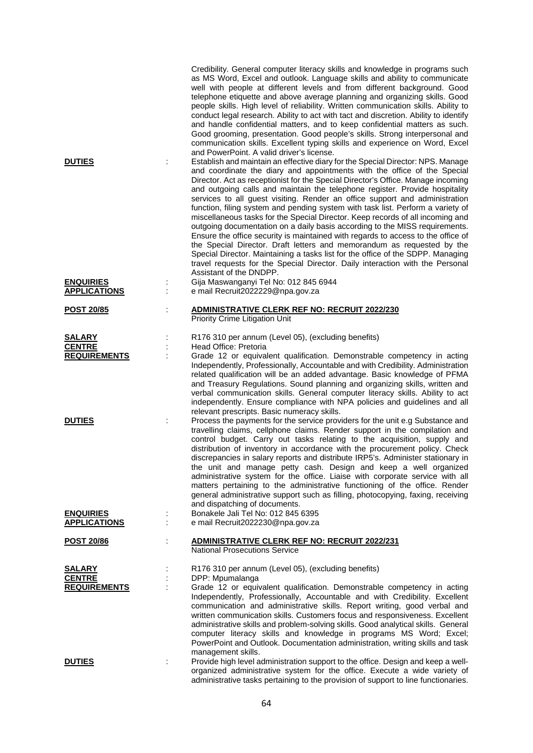| <b>DUTIES</b>                           | Credibility. General computer literacy skills and knowledge in programs such<br>as MS Word, Excel and outlook. Language skills and ability to communicate<br>well with people at different levels and from different background. Good<br>telephone etiquette and above average planning and organizing skills. Good<br>people skills. High level of reliability. Written communication skills. Ability to<br>conduct legal research. Ability to act with tact and discretion. Ability to identify<br>and handle confidential matters, and to keep confidential matters as such.<br>Good grooming, presentation. Good people's skills. Strong interpersonal and<br>communication skills. Excellent typing skills and experience on Word, Excel<br>and PowerPoint. A valid driver's license.<br>Establish and maintain an effective diary for the Special Director: NPS. Manage<br>and coordinate the diary and appointments with the office of the Special<br>Director. Act as receptionist for the Special Director's Office. Manage incoming<br>and outgoing calls and maintain the telephone register. Provide hospitality<br>services to all guest visiting. Render an office support and administration<br>function, filing system and pending system with task list. Perform a variety of<br>miscellaneous tasks for the Special Director. Keep records of all incoming and<br>outgoing documentation on a daily basis according to the MISS requirements.<br>Ensure the office security is maintained with regards to access to the office of<br>the Special Director. Draft letters and memorandum as requested by the<br>Special Director. Maintaining a tasks list for the office of the SDPP. Managing |
|-----------------------------------------|------------------------------------------------------------------------------------------------------------------------------------------------------------------------------------------------------------------------------------------------------------------------------------------------------------------------------------------------------------------------------------------------------------------------------------------------------------------------------------------------------------------------------------------------------------------------------------------------------------------------------------------------------------------------------------------------------------------------------------------------------------------------------------------------------------------------------------------------------------------------------------------------------------------------------------------------------------------------------------------------------------------------------------------------------------------------------------------------------------------------------------------------------------------------------------------------------------------------------------------------------------------------------------------------------------------------------------------------------------------------------------------------------------------------------------------------------------------------------------------------------------------------------------------------------------------------------------------------------------------------------------------------------------------------------------------------------------------|
|                                         | travel requests for the Special Director. Daily interaction with the Personal<br>Assistant of the DNDPP.                                                                                                                                                                                                                                                                                                                                                                                                                                                                                                                                                                                                                                                                                                                                                                                                                                                                                                                                                                                                                                                                                                                                                                                                                                                                                                                                                                                                                                                                                                                                                                                                         |
| <b>ENQUIRIES</b><br><b>APPLICATIONS</b> | Gija Maswanganyi Tel No: 012 845 6944<br>e mail Recruit2022229@npa.gov.za                                                                                                                                                                                                                                                                                                                                                                                                                                                                                                                                                                                                                                                                                                                                                                                                                                                                                                                                                                                                                                                                                                                                                                                                                                                                                                                                                                                                                                                                                                                                                                                                                                        |
| <b>POST 20/85</b>                       | <b>ADMINISTRATIVE CLERK REF NO: RECRUIT 2022/230</b><br>Priority Crime Litigation Unit                                                                                                                                                                                                                                                                                                                                                                                                                                                                                                                                                                                                                                                                                                                                                                                                                                                                                                                                                                                                                                                                                                                                                                                                                                                                                                                                                                                                                                                                                                                                                                                                                           |
| <b>SALARY</b>                           | R176 310 per annum (Level 05), (excluding benefits)                                                                                                                                                                                                                                                                                                                                                                                                                                                                                                                                                                                                                                                                                                                                                                                                                                                                                                                                                                                                                                                                                                                                                                                                                                                                                                                                                                                                                                                                                                                                                                                                                                                              |
| <b>CENTRE</b>                           | Head Office: Pretoria                                                                                                                                                                                                                                                                                                                                                                                                                                                                                                                                                                                                                                                                                                                                                                                                                                                                                                                                                                                                                                                                                                                                                                                                                                                                                                                                                                                                                                                                                                                                                                                                                                                                                            |
| <b>REQUIREMENTS</b>                     | Grade 12 or equivalent qualification. Demonstrable competency in acting<br>Independently, Professionally, Accountable and with Credibility. Administration<br>related qualification will be an added advantage. Basic knowledge of PFMA<br>and Treasury Regulations. Sound planning and organizing skills, written and<br>verbal communication skills. General computer literacy skills. Ability to act<br>independently. Ensure compliance with NPA policies and guidelines and all<br>relevant prescripts. Basic numeracy skills.                                                                                                                                                                                                                                                                                                                                                                                                                                                                                                                                                                                                                                                                                                                                                                                                                                                                                                                                                                                                                                                                                                                                                                              |
| <b>DUTIES</b>                           | Process the payments for the service providers for the unit e.g Substance and<br>travelling claims, cellphone claims. Render support in the compilation and<br>control budget. Carry out tasks relating to the acquisition, supply and<br>distribution of inventory in accordance with the procurement policy. Check<br>discrepancies in salary reports and distribute IRP5's. Administer stationary in<br>the unit and manage petty cash. Design and keep a well organized<br>administrative system for the office. Liaise with corporate service with all<br>matters pertaining to the administrative functioning of the office. Render<br>general administrative support such as filling, photocopying, faxing, receiving<br>and dispatching of documents.                                                                                                                                                                                                                                                                                                                                                                                                                                                                                                                                                                                                                                                                                                                                                                                                                                                                                                                                                    |
| <b>ENQUIRIES</b><br><b>APPLICATIONS</b> | Bonakele Jali Tel No: 012 845 6395<br>e mail Recruit2022230@npa.gov.za                                                                                                                                                                                                                                                                                                                                                                                                                                                                                                                                                                                                                                                                                                                                                                                                                                                                                                                                                                                                                                                                                                                                                                                                                                                                                                                                                                                                                                                                                                                                                                                                                                           |
| <b>POST 20/86</b>                       | <b>ADMINISTRATIVE CLERK REF NO: RECRUIT 2022/231</b><br><b>National Prosecutions Service</b>                                                                                                                                                                                                                                                                                                                                                                                                                                                                                                                                                                                                                                                                                                                                                                                                                                                                                                                                                                                                                                                                                                                                                                                                                                                                                                                                                                                                                                                                                                                                                                                                                     |
| <b>SALARY</b>                           | R176 310 per annum (Level 05), (excluding benefits)                                                                                                                                                                                                                                                                                                                                                                                                                                                                                                                                                                                                                                                                                                                                                                                                                                                                                                                                                                                                                                                                                                                                                                                                                                                                                                                                                                                                                                                                                                                                                                                                                                                              |
| <b>CENTRE</b><br><b>REQUIREMENTS</b>    | DPP: Mpumalanga<br>Grade 12 or equivalent qualification. Demonstrable competency in acting<br>Independently, Professionally, Accountable and with Credibility. Excellent<br>communication and administrative skills. Report writing, good verbal and<br>written communication skills. Customers focus and responsiveness. Excellent<br>administrative skills and problem-solving skills. Good analytical skills. General<br>computer literacy skills and knowledge in programs MS Word; Excel;<br>PowerPoint and Outlook. Documentation administration, writing skills and task                                                                                                                                                                                                                                                                                                                                                                                                                                                                                                                                                                                                                                                                                                                                                                                                                                                                                                                                                                                                                                                                                                                                  |
| <b>DUTIES</b>                           | management skills.<br>Provide high level administration support to the office. Design and keep a well-<br>organized administrative system for the office. Execute a wide variety of<br>administrative tasks pertaining to the provision of support to line functionaries.                                                                                                                                                                                                                                                                                                                                                                                                                                                                                                                                                                                                                                                                                                                                                                                                                                                                                                                                                                                                                                                                                                                                                                                                                                                                                                                                                                                                                                        |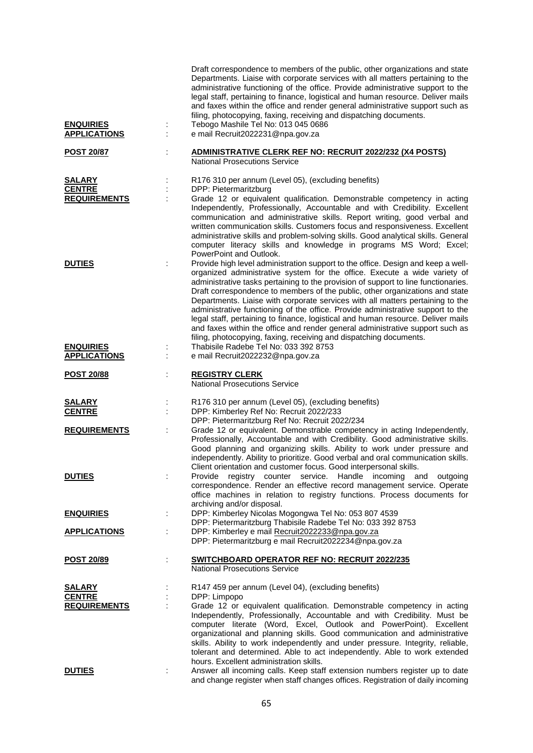| <b>ENQUIRIES</b><br><b>APPLICATIONS</b>               | ÷ | Draft correspondence to members of the public, other organizations and state<br>Departments. Liaise with corporate services with all matters pertaining to the<br>administrative functioning of the office. Provide administrative support to the<br>legal staff, pertaining to finance, logistical and human resource. Deliver mails<br>and faxes within the office and render general administrative support such as<br>filing, photocopying, faxing, receiving and dispatching documents.<br>Tebogo Mashile Tel No: 013 045 0686<br>e mail Recruit2022231@npa.gov.za                                                                                                                                                                             |
|-------------------------------------------------------|---|-----------------------------------------------------------------------------------------------------------------------------------------------------------------------------------------------------------------------------------------------------------------------------------------------------------------------------------------------------------------------------------------------------------------------------------------------------------------------------------------------------------------------------------------------------------------------------------------------------------------------------------------------------------------------------------------------------------------------------------------------------|
| <b>POST 20/87</b>                                     |   | <b>ADMINISTRATIVE CLERK REF NO: RECRUIT 2022/232 (X4 POSTS)</b><br><b>National Prosecutions Service</b>                                                                                                                                                                                                                                                                                                                                                                                                                                                                                                                                                                                                                                             |
| <b>SALARY</b><br><b>CENTRE</b><br><b>REQUIREMENTS</b> |   | R176 310 per annum (Level 05), (excluding benefits)<br>DPP: Pietermaritzburg<br>Grade 12 or equivalent qualification. Demonstrable competency in acting<br>Independently, Professionally, Accountable and with Credibility. Excellent<br>communication and administrative skills. Report writing, good verbal and<br>written communication skills. Customers focus and responsiveness. Excellent<br>administrative skills and problem-solving skills. Good analytical skills. General<br>computer literacy skills and knowledge in programs MS Word; Excel;<br>PowerPoint and Outlook.                                                                                                                                                              |
| <b>DUTIES</b>                                         | ÷ | Provide high level administration support to the office. Design and keep a well-<br>organized administrative system for the office. Execute a wide variety of<br>administrative tasks pertaining to the provision of support to line functionaries.<br>Draft correspondence to members of the public, other organizations and state<br>Departments. Liaise with corporate services with all matters pertaining to the<br>administrative functioning of the office. Provide administrative support to the<br>legal staff, pertaining to finance, logistical and human resource. Deliver mails<br>and faxes within the office and render general administrative support such as<br>filing, photocopying, faxing, receiving and dispatching documents. |
| <b>ENQUIRIES</b><br><b>APPLICATIONS</b>               |   | Thabisile Radebe Tel No: 033 392 8753<br>e mail Recruit2022232@npa.gov.za                                                                                                                                                                                                                                                                                                                                                                                                                                                                                                                                                                                                                                                                           |
| <b>POST 20/88</b>                                     |   | <b>REGISTRY CLERK</b><br>National Prosecutions Service                                                                                                                                                                                                                                                                                                                                                                                                                                                                                                                                                                                                                                                                                              |
| <u>SALARY</u><br><b>CENTRE</b>                        |   | R176 310 per annum (Level 05), (excluding benefits)<br>DPP: Kimberley Ref No: Recruit 2022/233<br>DPP: Pietermaritzburg Ref No: Recruit 2022/234                                                                                                                                                                                                                                                                                                                                                                                                                                                                                                                                                                                                    |
| <b>REQUIREMENTS</b>                                   | ÷ | Grade 12 or equivalent. Demonstrable competency in acting Independently,<br>Professionally, Accountable and with Credibility. Good administrative skills.<br>Good planning and organizing skills. Ability to work under pressure and<br>independently. Ability to prioritize. Good verbal and oral communication skills.<br>Client orientation and customer focus. Good interpersonal skills.                                                                                                                                                                                                                                                                                                                                                       |
| <b>DUTIES</b>                                         |   | registry counter<br>service.<br>Handle<br>Provide<br>incoming<br>and<br>outgoing<br>correspondence. Render an effective record management service. Operate<br>office machines in relation to registry functions. Process documents for<br>archiving and/or disposal.                                                                                                                                                                                                                                                                                                                                                                                                                                                                                |
| <b>ENQUIRIES</b>                                      | ÷ | DPP: Kimberley Nicolas Mogongwa Tel No: 053 807 4539<br>DPP: Pietermaritzburg Thabisile Radebe Tel No: 033 392 8753                                                                                                                                                                                                                                                                                                                                                                                                                                                                                                                                                                                                                                 |
| <b>APPLICATIONS</b>                                   |   | DPP: Kimberley e mail Recruit2022233@npa.gov.za<br>DPP: Pietermaritzburg e mail Recruit2022234@npa.gov.za                                                                                                                                                                                                                                                                                                                                                                                                                                                                                                                                                                                                                                           |
| <u>POST 20/89</u>                                     |   | SWITCHBOARD OPERATOR REF NO: RECRUIT 2022/235<br><b>National Prosecutions Service</b>                                                                                                                                                                                                                                                                                                                                                                                                                                                                                                                                                                                                                                                               |
| <b>SALARY</b><br><b>CENTRE</b><br><b>REQUIREMENTS</b> |   | R147 459 per annum (Level 04), (excluding benefits)<br>DPP: Limpopo<br>Grade 12 or equivalent qualification. Demonstrable competency in acting<br>Independently, Professionally, Accountable and with Credibility. Must be<br>computer literate (Word, Excel, Outlook and PowerPoint). Excellent<br>organizational and planning skills. Good communication and administrative<br>skills. Ability to work independently and under pressure. Integrity, reliable,<br>tolerant and determined. Able to act independently. Able to work extended                                                                                                                                                                                                        |
| <b>DUTIES</b>                                         | ÷ | hours. Excellent administration skills.<br>Answer all incoming calls. Keep staff extension numbers register up to date<br>and change register when staff changes offices. Registration of daily incoming                                                                                                                                                                                                                                                                                                                                                                                                                                                                                                                                            |